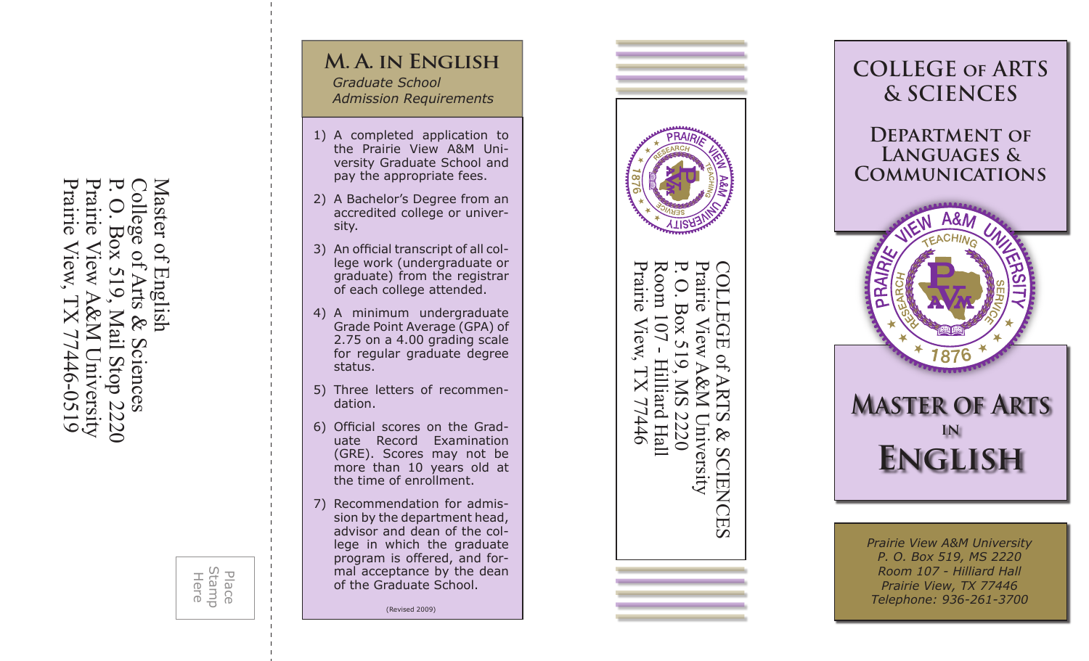Praii Prairie Prairie View, TX 77446-0519 Prairie View A&M University P. O. Box 519, Mail Stop 2220 Master of English College of Arts & Sciences aster rie View, Iew cienc  $6150 - 9t$ niversity dore  $\widetilde{S}$ 77  $\widetilde{\rm C}$ 



### **M. A. in English** *Graduate School*

*Admission Requirements*

- 1) A completed application to the Prairie View A&M Uni versity Graduate School and pay the appropriate fees.
- 2) A Bachelor's Degree from an accredited college or univer sity.
- 3) An official transcript of all college work (undergraduate or graduate) from the registrar of each college attended.
- 4) A minimum undergraduate Grade Point Average (GPA) of 2.75 on a 4.00 grading scale for regular graduate degree status.
- 5) Three letters of recommendation.
- 6) Official scores on the Graduate Record Examination (GRE). Scores may not be more than 10 years old at the time of enrollment.
- 7) Recommendation for admission by the department head, advisor and dean of the col lege in which the graduate program is offered, and for mal acceptance by the dean of the Graduate School.

(Revised 2009)





*Prairie View A&M University P. O. Box 519, MS 2220 Room 107 - Hilliard Hall Prairie View, TX 77446 Telephone: 936-261-3700*